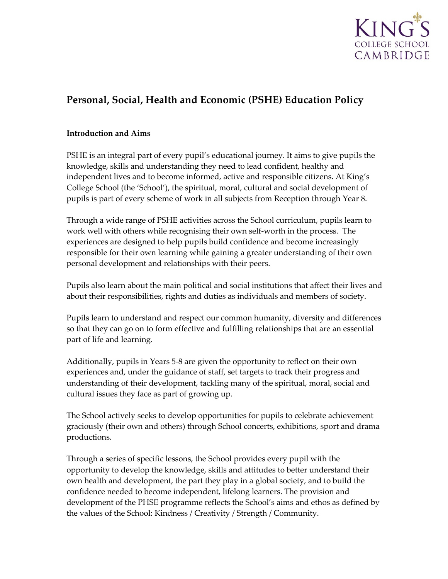

# **Personal, Social, Health and Economic (PSHE) Education Policy**

#### **Introduction and Aims**

PSHE is an integral part of every pupil's educational journey. It aims to give pupils the knowledge, skills and understanding they need to lead confident, healthy and independent lives and to become informed, active and responsible citizens. At King's College School (the 'School'), the spiritual, moral, cultural and social development of pupils is part of every scheme of work in all subjects from Reception through Year 8.

Through a wide range of PSHE activities across the School curriculum, pupils learn to work well with others while recognising their own self-worth in the process. The experiences are designed to help pupils build confidence and become increasingly responsible for their own learning while gaining a greater understanding of their own personal development and relationships with their peers.

Pupils also learn about the main political and social institutions that affect their lives and about their responsibilities, rights and duties as individuals and members of society.

Pupils learn to understand and respect our common humanity, diversity and differences so that they can go on to form effective and fulfilling relationships that are an essential part of life and learning.

Additionally, pupils in Years 5-8 are given the opportunity to reflect on their own experiences and, under the guidance of staff, set targets to track their progress and understanding of their development, tackling many of the spiritual, moral, social and cultural issues they face as part of growing up.

The School actively seeks to develop opportunities for pupils to celebrate achievement graciously (their own and others) through School concerts, exhibitions, sport and drama productions.

Through a series of specific lessons, the School provides every pupil with the opportunity to develop the knowledge, skills and attitudes to better understand their own health and development, the part they play in a global society, and to build the confidence needed to become independent, lifelong learners. The provision and development of the PHSE programme reflects the School's aims and ethos as defined by the values of the School: Kindness / Creativity / Strength / Community.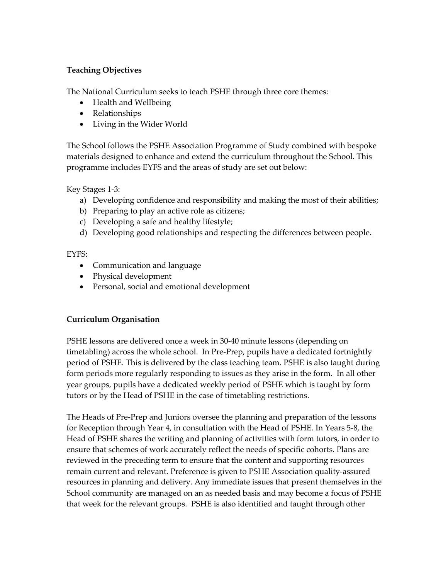# **Teaching Objectives**

The National Curriculum seeks to teach PSHE through three core themes:

- Health and Wellbeing
- Relationships
- Living in the Wider World

The School follows the PSHE Association Programme of Study combined with bespoke materials designed to enhance and extend the curriculum throughout the School. This programme includes EYFS and the areas of study are set out below:

Key Stages 1-3:

- a) Developing confidence and responsibility and making the most of their abilities;
- b) Preparing to play an active role as citizens;
- c) Developing a safe and healthy lifestyle;
- d) Developing good relationships and respecting the differences between people.

EYFS:

- Communication and language
- Physical development
- Personal, social and emotional development

# **Curriculum Organisation**

PSHE lessons are delivered once a week in 30-40 minute lessons (depending on timetabling) across the whole school. In Pre-Prep, pupils have a dedicated fortnightly period of PSHE. This is delivered by the class teaching team. PSHE is also taught during form periods more regularly responding to issues as they arise in the form. In all other year groups, pupils have a dedicated weekly period of PSHE which is taught by form tutors or by the Head of PSHE in the case of timetabling restrictions.

The Heads of Pre-Prep and Juniors oversee the planning and preparation of the lessons for Reception through Year 4, in consultation with the Head of PSHE. In Years 5-8, the Head of PSHE shares the writing and planning of activities with form tutors, in order to ensure that schemes of work accurately reflect the needs of specific cohorts. Plans are reviewed in the preceding term to ensure that the content and supporting resources remain current and relevant. Preference is given to PSHE Association quality-assured resources in planning and delivery. Any immediate issues that present themselves in the School community are managed on an as needed basis and may become a focus of PSHE that week for the relevant groups. PSHE is also identified and taught through other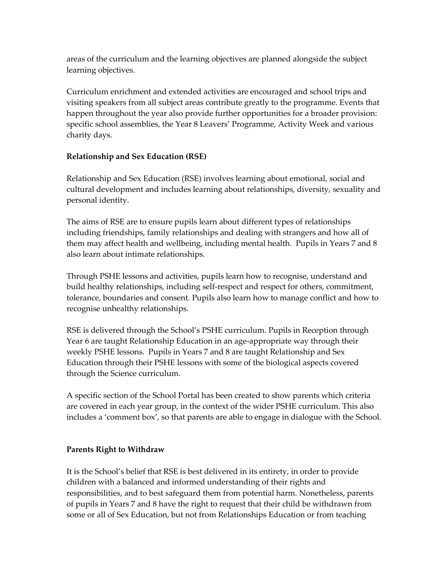areas of the curriculum and the learning objectives are planned alongside the subject learning objectives.

Curriculum enrichment and extended activities are encouraged and school trips and visiting speakers from all subject areas contribute greatly to the programme. Events that happen throughout the year also provide further opportunities for a broader provision: specific school assemblies, the Year 8 Leavers' Programme, Activity Week and various charity days.

# **Relationship and Sex Education (RSE)**

Relationship and Sex Education (RSE) involves learning about emotional, social and cultural development and includes learning about relationships, diversity, sexuality and personal identity.

The aims of RSE are to ensure pupils learn about different types of relationships including friendships, family relationships and dealing with strangers and how all of them may affect health and wellbeing, including mental health. Pupils in Years 7 and 8 also learn about intimate relationships.

Through PSHE lessons and activities, pupils learn how to recognise, understand and build healthy relationships, including self-respect and respect for others, commitment, tolerance, boundaries and consent. Pupils also learn how to manage conflict and how to recognise unhealthy relationships.

RSE is delivered through the School's PSHE curriculum. Pupils in Reception through Year 6 are taught Relationship Education in an age-appropriate way through their weekly PSHE lessons. Pupils in Years 7 and 8 are taught Relationship and Sex Education through their PSHE lessons with some of the biological aspects covered through the Science curriculum.

A specific section of the School Portal has been created to show parents which criteria are covered in each year group, in the context of the wider PSHE curriculum. This also includes a 'comment box', so that parents are able to engage in dialogue with the School.

#### **Parents Right to Withdraw**

It is the School's belief that RSE is best delivered in its entirety, in order to provide children with a balanced and informed understanding of their rights and responsibilities, and to best safeguard them from potential harm. Nonetheless, parents of pupils in Years 7 and 8 have the right to request that their child be withdrawn from some or all of Sex Education, but not from Relationships Education or from teaching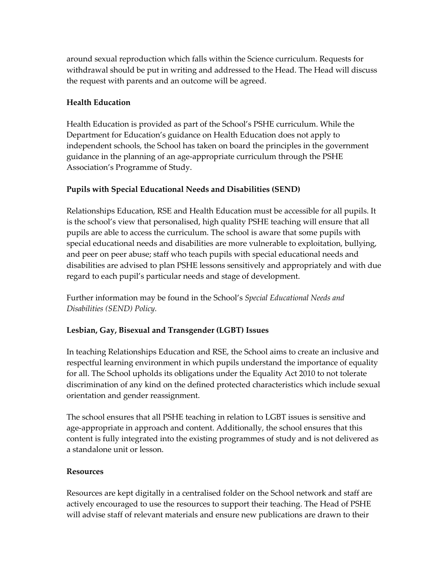around sexual reproduction which falls within the Science curriculum. Requests for withdrawal should be put in writing and addressed to the Head. The Head will discuss the request with parents and an outcome will be agreed.

# **Health Education**

Health Education is provided as part of the School's PSHE curriculum. While the Department for Education's guidance on Health Education does not apply to independent schools, the School has taken on board the principles in the government guidance in the planning of an age-appropriate curriculum through the PSHE Association's Programme of Study.

# **Pupils with Special Educational Needs and Disabilities (SEND)**

Relationships Education, RSE and Health Education must be accessible for all pupils. It is the school's view that personalised, high quality PSHE teaching will ensure that all pupils are able to access the curriculum. The school is aware that some pupils with special educational needs and disabilities are more vulnerable to exploitation, bullying, and peer on peer abuse; staff who teach pupils with special educational needs and disabilities are advised to plan PSHE lessons sensitively and appropriately and with due regard to each pupil's particular needs and stage of development.

Further information may be found in the School's *Special Educational Needs and Disabilities (SEND) Policy.* 

#### **Lesbian, Gay, Bisexual and Transgender (LGBT) Issues**

In teaching Relationships Education and RSE, the School aims to create an inclusive and respectful learning environment in which pupils understand the importance of equality for all. The School upholds its obligations under the Equality Act 2010 to not tolerate discrimination of any kind on the defined protected characteristics which include sexual orientation and gender reassignment.

The school ensures that all PSHE teaching in relation to LGBT issues is sensitive and age-appropriate in approach and content. Additionally, the school ensures that this content is fully integrated into the existing programmes of study and is not delivered as a standalone unit or lesson.

#### **Resources**

Resources are kept digitally in a centralised folder on the School network and staff are actively encouraged to use the resources to support their teaching. The Head of PSHE will advise staff of relevant materials and ensure new publications are drawn to their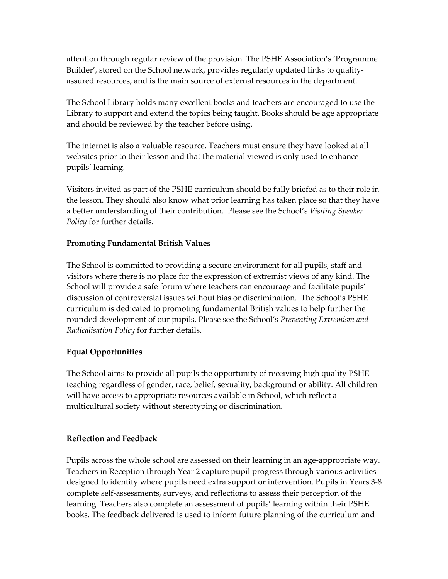attention through regular review of the provision. The PSHE Association's 'Programme Builder', stored on the School network, provides regularly updated links to qualityassured resources, and is the main source of external resources in the department.

The School Library holds many excellent books and teachers are encouraged to use the Library to support and extend the topics being taught. Books should be age appropriate and should be reviewed by the teacher before using.

The internet is also a valuable resource. Teachers must ensure they have looked at all websites prior to their lesson and that the material viewed is only used to enhance pupils' learning.

Visitors invited as part of the PSHE curriculum should be fully briefed as to their role in the lesson. They should also know what prior learning has taken place so that they have a better understanding of their contribution. Please see the School's *Visiting Speaker Policy* for further details.

#### **Promoting Fundamental British Values**

The School is committed to providing a secure environment for all pupils, staff and visitors where there is no place for the expression of extremist views of any kind. The School will provide a safe forum where teachers can encourage and facilitate pupils' discussion of controversial issues without bias or discrimination. The School's PSHE curriculum is dedicated to promoting fundamental British values to help further the rounded development of our pupils. Please see the School's *Preventing Extremism and Radicalisation Policy* for further details.

# **Equal Opportunities**

The School aims to provide all pupils the opportunity of receiving high quality PSHE teaching regardless of gender, race, belief, sexuality, background or ability. All children will have access to appropriate resources available in School, which reflect a multicultural society without stereotyping or discrimination.

#### **Reflection and Feedback**

Pupils across the whole school are assessed on their learning in an age-appropriate way. Teachers in Reception through Year 2 capture pupil progress through various activities designed to identify where pupils need extra support or intervention. Pupils in Years 3-8 complete self-assessments, surveys, and reflections to assess their perception of the learning. Teachers also complete an assessment of pupils' learning within their PSHE books. The feedback delivered is used to inform future planning of the curriculum and